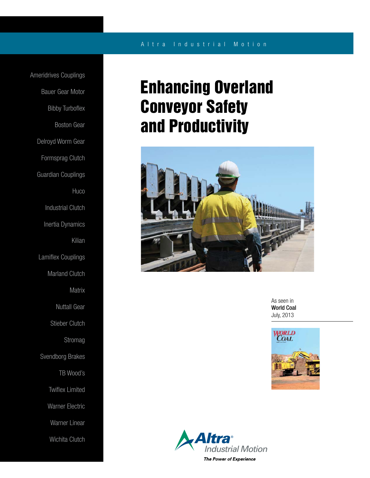## A l t r a Industrial Motion

Ameridrives Couplings Bauer Gear Motor Bibby Turboflex Boston Gear Delroyd Worm Gear Formsprag Clutch Guardian Couplings **Huco** Industrial Clutch Inertia Dynamics Kilian Lamiflex Couplings Marland Clutch **Matrix** Nuttall Gear Stieber Clutch Stromag Svendborg Brakes TB Wood's Twiflex Limited Warner Electric Warner Linear Wichita Clutch

# Enhancing Overland Conveyor Safety and Productivity



As seen in World Coal July, 2013



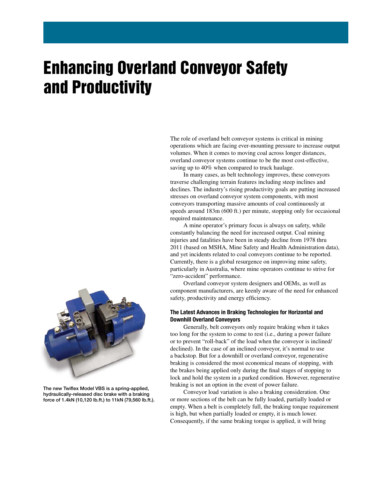# Enhancing Overland Conveyor Safety and Productivity

The role of overland belt conveyor systems is critical in mining operations which are facing ever-mounting pressure to increase output volumes. When it comes to moving coal across longer distances, overland conveyor systems continue to be the most cost-effective, saving up to 40% when compared to truck haulage.

 In many cases, as belt technology improves, these conveyors traverse challenging terrain features including steep inclines and declines. The industry's rising productivity goals are putting increased stresses on overland conveyor system components, with most conveyors transporting massive amounts of coal continuously at speeds around 183m (600 ft.) per minute, stopping only for occasional required maintenance.

 A mine operator's primary focus is always on safety, while constantly balancing the need for increased output. Coal mining injuries and fatalities have been in steady decline from 1978 thru 2011 (based on MSHA, Mine Safety and Health Administration data), and yet incidents related to coal conveyors continue to be reported. Currently, there is a global resurgence on improving mine safety, particularly in Australia, where mine operators continue to strive for "zero-accident" performance.

 Overland conveyor system designers and OEMs, as well as component manufacturers, are keenly aware of the need for enhanced safety, productivity and energy efficiency.

## The Latest Advances in Braking Technologies for Horizontal and Downhill Overland Conveyors

 Generally, belt conveyors only require braking when it takes too long for the system to come to rest (i.e., during a power failure or to prevent "roll-back" of the load when the conveyor is inclined/ declined). In the case of an inclined conveyor, it's normal to use a backstop. But for a downhill or overland conveyor, regenerative braking is considered the most economical means of stopping, with the brakes being applied only during the final stages of stopping to lock and hold the system in a parked condition. However, regenerative braking is not an option in the event of power failure.

 Conveyor load variation is also a braking consideration. One or more sections of the belt can be fully loaded, partially loaded or empty. When a belt is completely full, the braking torque requirement is high, but when partially loaded or empty, it is much lower. Consequently, if the same braking torque is applied, it will bring



The new Twiflex Model VBS is a spring-applied, hydraulically-released disc brake with a braking force of 1.4kN (10,120 lb.ft.) to 11kN (79,560 lb.ft.).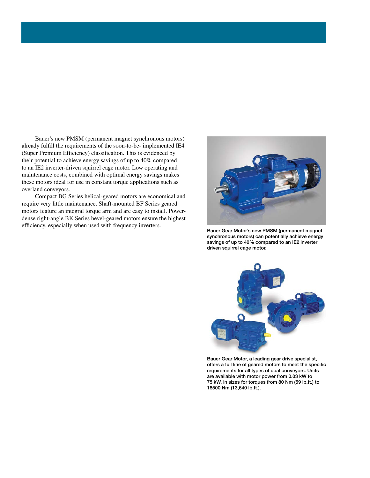Bauer's new PMSM (permanent magnet synchronous motors) already fulfill the requirements of the soon-to-be- implemented IE4 (Super Premium Efficiency) classification. This is evidenced by their potential to achieve energy savings of up to 40% compared to an IE2 inverter-driven squirrel cage motor. Low operating and maintenance costs, combined with optimal energy savings makes these motors ideal for use in constant torque applications such as overland conveyors.

 Compact BG Series helical-geared motors are economical and require very little maintenance. Shaft-mounted BF Series geared motors feature an integral torque arm and are easy to install. Powerdense right-angle BK Series bevel-geared motors ensure the highest efficiency, especially when used with frequency inverters.



Bauer Gear Motor's new PMSM (permanent magnet synchronous motors) can potentially achieve energy savings of up to 40% compared to an IE2 inverter driven squirrel cage motor.



Bauer Gear Motor, a leading gear drive specialist, offers a full line of geared motors to meet the specific requirements for all types of coal conveyors. Units are available with motor power from 0.03 kW to 75 kW, in sizes for torques from 80 Nm (59 lb.ft.) to 18500 Nm (13,640 lb.ft.).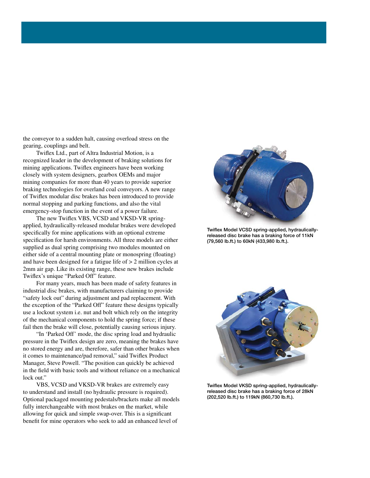the conveyor to a sudden halt, causing overload stress on the gearing, couplings and belt.

 Twiflex Ltd., part of Altra Industrial Motion, is a recognized leader in the development of braking solutions for mining applications. Twiflex engineers have been working closely with system designers, gearbox OEMs and major mining companies for more than 40 years to provide superior braking technologies for overland coal conveyors. A new range of Twiflex modular disc brakes has been introduced to provide normal stopping and parking functions, and also the vital emergency-stop function in the event of a power failure.

 The new Twiflex VBS, VCSD and VKSD-VR springapplied, hydraulically-released modular brakes were developed specifically for mine applications with an optional extreme specification for harsh environments. All three models are either supplied as dual spring comprising two modules mounted on either side of a central mounting plate or monospring (floating) and have been designed for a fatigue life of > 2 million cycles at 2mm air gap. Like its existing range, these new brakes include Twiflex's unique "Parked Off" feature.

 For many years, much has been made of safety features in industrial disc brakes, with manufacturers claiming to provide "safety lock out" during adjustment and pad replacement. With the exception of the "Parked Off" feature these designs typically use a lockout system i.e. nut and bolt which rely on the integrity of the mechanical components to hold the spring force; if these fail then the brake will close, potentially causing serious injury.

 "In 'Parked Off' mode, the disc spring load and hydraulic pressure in the Twiflex design are zero, meaning the brakes have no stored energy and are, therefore, safer than other brakes when it comes to maintenance/pad removal," said Twiflex Product Manager, Steve Powell. "The position can quickly be achieved in the field with basic tools and without reliance on a mechanical lock out."

 VBS, VCSD and VKSD-VR brakes are extremely easy to understand and install (no hydraulic pressure is required). Optional packaged mounting pedestals/brackets make all models fully interchangeable with most brakes on the market, while allowing for quick and simple swap-over. This is a significant benefit for mine operators who seek to add an enhanced level of



Twiflex Model VCSD spring-applied, hydraulicallyreleased disc brake has a braking force of 11kN (79,560 lb.ft.) to 60kN (433,980 lb.ft.).



Twiflex Model VKSD spring-applied, hydraulicallyreleased disc brake has a braking force of 28kN (202,520 lb.ft.) to 119kN (860,730 lb.ft.).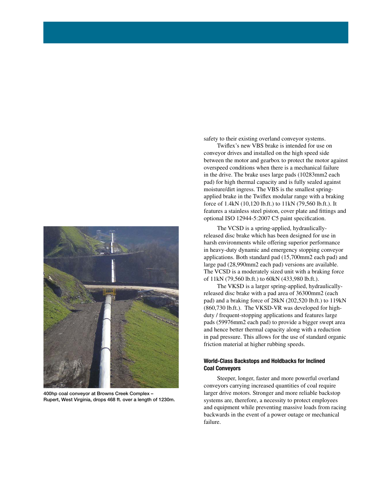

400hp coal conveyor at Browns Creek Complex – Rupert, West Virginia, drops 468 ft. over a length of 1230m.

safety to their existing overland conveyor systems.

 Twiflex's new VBS brake is intended for use on conveyor drives and installed on the high speed side between the motor and gearbox to protect the motor against overspeed conditions when there is a mechanical failure in the drive. The brake uses large pads (10283mm2 each pad) for high thermal capacity and is fully sealed against moisture/dirt ingress. The VBS is the smallest springapplied brake in the Twiflex modular range with a braking force of 1.4kN (10,120 lb.ft.) to 11kN (79,560 lb.ft.). It features a stainless steel piston, cover plate and fittings and optional ISO 12944-5:2007 C5 paint specification.

 The VCSD is a spring-applied, hydraulicallyreleased disc brake which has been designed for use in harsh environments while offering superior performance in heavy-duty dynamic and emergency stopping conveyor applications. Both standard pad (15,700mm2 each pad) and large pad (28,990mm2 each pad) versions are available. The VCSD is a moderately sized unit with a braking force of 11kN (79,560 lb.ft.) to 60kN (433,980 lb.ft.).

 The VKSD is a larger spring-applied, hydraulicallyreleased disc brake with a pad area of 36300mm2 (each pad) and a braking force of 28kN (202,520 lb.ft.) to 119kN (860,730 lb.ft.). The VKSD-VR was developed for highduty / frequent-stopping applications and features large pads (59976mm2 each pad) to provide a bigger swept area and hence better thermal capacity along with a reduction in pad pressure. This allows for the use of standard organic friction material at higher rubbing speeds.

### World-Class Backstops and Holdbacks for Inclined Coal Conveyors

 Steeper, longer, faster and more powerful overland conveyors carrying increased quantities of coal require larger drive motors. Stronger and more reliable backstop systems are, therefore, a necessity to protect employees and equipment while preventing massive loads from racing backwards in the event of a power outage or mechanical failure.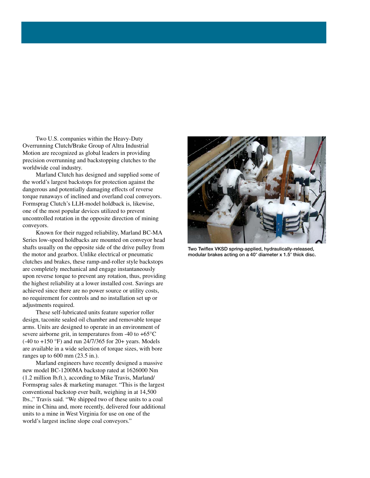Two U.S. companies within the Heavy-Duty Overrunning Clutch/Brake Group of Altra Industrial Motion are recognized as global leaders in providing precision overrunning and backstopping clutches to the worldwide coal industry.

 Marland Clutch has designed and supplied some of the world's largest backstops for protection against the dangerous and potentially damaging effects of reverse torque runaways of inclined and overland coal conveyors. Formsprag Clutch's LLH-model holdback is, likewise, one of the most popular devices utilized to prevent uncontrolled rotation in the opposite direction of mining conveyors.

 Known for their rugged reliability, Marland BC-MA Series low-speed holdbacks are mounted on conveyor head shafts usually on the opposite side of the drive pulley from the motor and gearbox. Unlike electrical or pneumatic clutches and brakes, these ramp-and-roller style backstops are completely mechanical and engage instantaneously upon reverse torque to prevent any rotation, thus, providing the highest reliability at a lower installed cost. Savings are achieved since there are no power source or utility costs, no requirement for controls and no installation set up or adjustments required.

 These self-lubricated units feature superior roller design, taconite sealed oil chamber and removable torque arms. Units are designed to operate in an environment of severe airborne grit, in temperatures from  $-40$  to  $+65^{\circ}$ C (-40 to +150 °F) and run 24/7/365 for 20+ years. Models are available in a wide selection of torque sizes, with bore ranges up to 600 mm (23.5 in.).

 Marland engineers have recently designed a massive new model BC-1200MA backstop rated at 1626000 Nm (1.2 million lb.ft.), according to Mike Travis, Marland/ Formsprag sales & marketing manager. "This is the largest conventional backstop ever built, weighing in at 14,500 lbs.," Travis said. "We shipped two of these units to a coal mine in China and, more recently, delivered four additional units to a mine in West Virginia for use on one of the world's largest incline slope coal conveyors."



Two Twiflex VKSD spring-applied, hydraulically-released, modular brakes acting on a 40" diameter x 1.5" thick disc.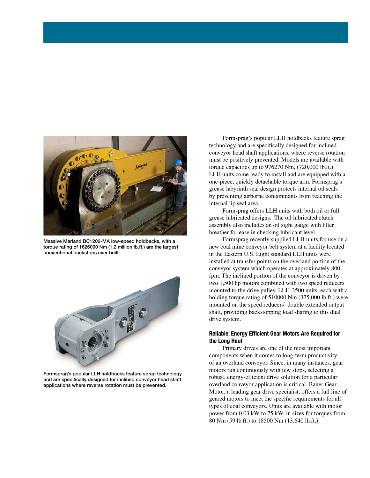

Massive Marland BC1200-MA low-speed holdbacks, with a torque rating of 1626000 Nm (1.2 million lb.ft.) are the largest conventional backstops ever built.



Formsprag's popular LLH holdbacks feature sprag technology and are specifically designed for inclined conveyor head shaft applications where reverse rotation must be prevented.

 Formsprag's popular LLH holdbacks feature sprag technology and are specifically designed for inclined conveyor head shaft applications, where reverse rotation must be positively prevented. Models are available with torque capacities up to 976270 Nm, (720,000 lb.ft.). LLH units come ready to install and are equipped with a one-piece, quickly detachable torque arm. Formsprag's grease labyrinth seal design protects internal oil seals by preventing airborne contaminants from reaching the internal lip seal area.

 Formsprag offers LLH units with both oil or full grease lubricated designs. The oil lubricated clutch assembly also includes an oil sight gauge with filter breather for ease in checking lubricant level.

 Formsprag recently supplied LLH units for use on a new coal mine conveyor belt system at a facility located in the Eastern U.S. Eight standard LLH units were installed at transfer points on the overland portion of the conveyor system which operates at approximately 800 fpm. The inclined portion of the conveyor is driven by two 1,500 hp motors combined with two speed reducers mounted to the drive pulley. LLH-3500 units, each with a holding torque rating of 510000 Nm (375,000 lb.ft.) were mounted on the speed reducers' double extended output shaft, providing backstopping load sharing to this dual drive system.

### Reliable, Energy Efficient Gear Motors Are Required for the Long Haul

 Primary drives are one of the most important components when it comes to long-term productivity of an overland conveyor. Since, in many instances, gear motors run continuously with few stops, selecting a robust, energy-efficient drive solution for a particular overland conveyor application is critical. Bauer Gear Motor, a leading gear drive specialist, offers a full line of geared motors to meet the specific requirements for all types of coal conveyors. Units are available with motor power from 0.03 kW to 75 kW, in sizes for torques from 80 Nm (59 lb.ft.) to 18500 Nm (13,640 lb.ft.).